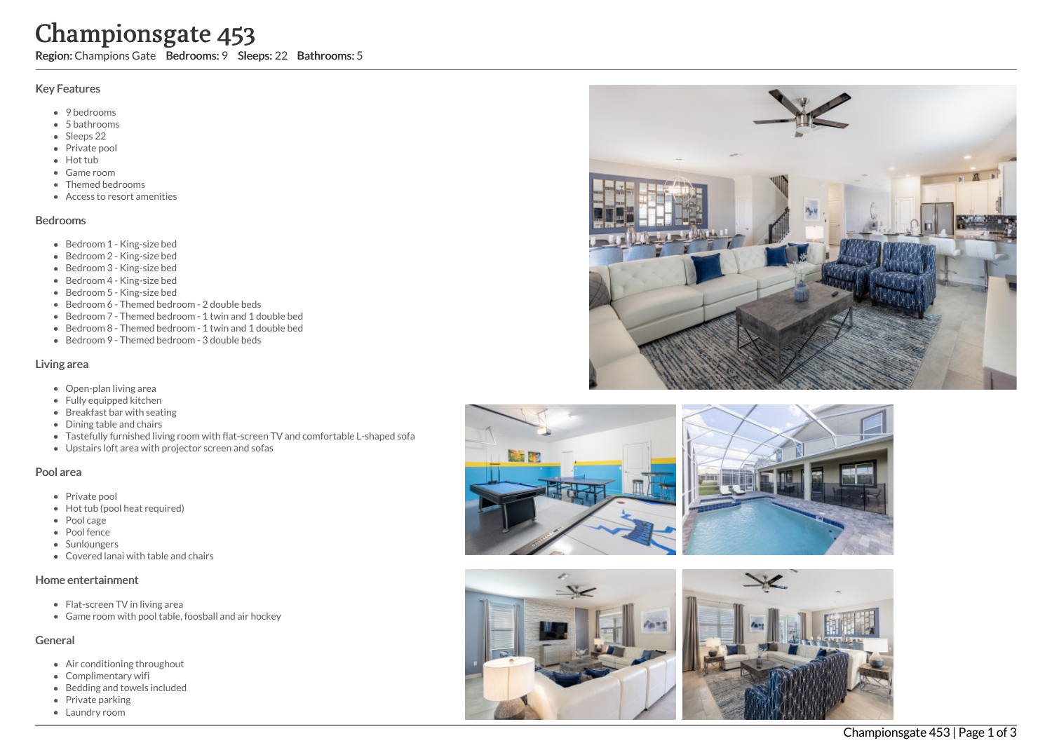# Championsgate 453

Region: Champions Gate Bedrooms: 9 Sleeps: 22 Bathrooms: 5

## Key Features

- 9 bedrooms
- 5 b a t h r o o m s
- Sleeps 22
- Private pool
- Hot tub
- Game room
- Themed bed r o o m s
- Access to resort amenities

#### **Bedrooms**

- Bedroom 1 King-size bed
- Bedroom 2 King-size bed
- Bedroom 3 King-size bed
- Bedroom 4 King-size bed
- Bedroom 5 King-size bed
- Bedroom 6 Themed bedroom 2 double beds
- Bedroom 7 Themed bedroom 1 twin and 1 double bed
- Bedroom 8 Themed bedroom 1 twin and 1 double bed
- Bedroom 9 Themed bedroom 3 double beds

#### Living area

- Open-plan living area
- Fully equipped kitchen
- Breakfast bar with seating
- Dining table and chairs
- Tastefully furnished living room with flat-screen TV and comfortable L-shaped sofa
- Upstairs loft area with projector screen and sofas

### Pool area

- Private pool
- Hot tub (pool heat required)
- Pool cage
- Pool fence
- **Sunloungers**
- Covered lanai with table and chairs

### Home entertainment

- Flat-screen TV in living area
- Game room with pool table, foosball and air hockey

# General

- Air conditioning throughout
- Complimentary wifi
- Bedding and towels in clu d e d
- Private parking
- Laundry room







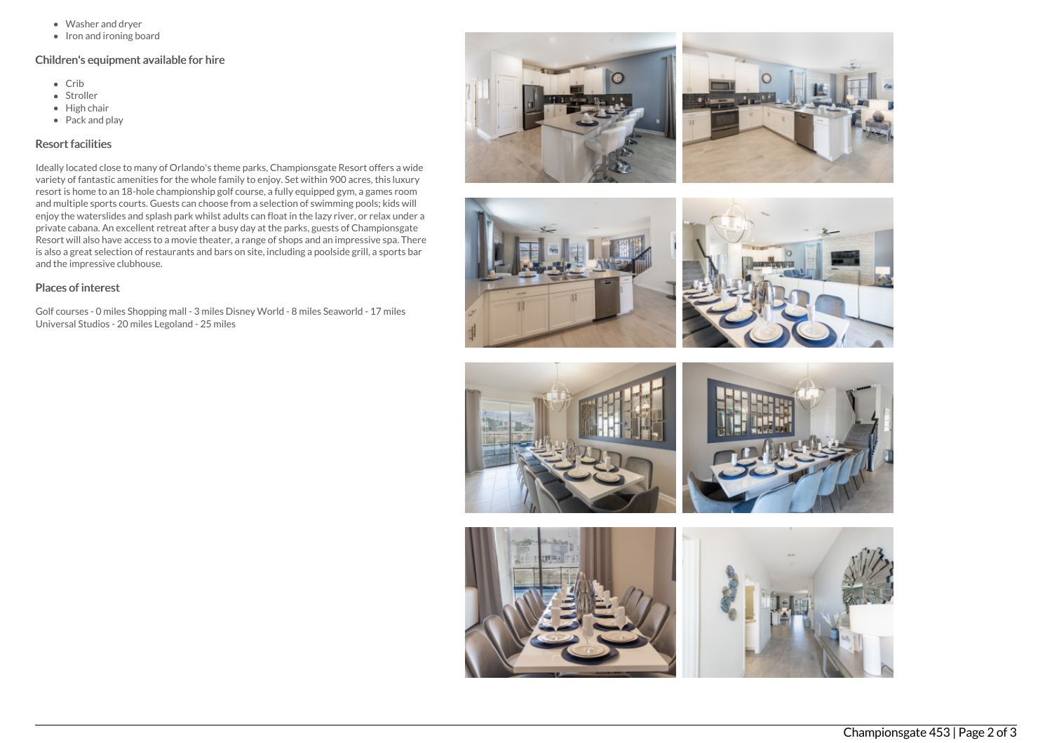- Washer and dryer
- $\bullet$  Iron and ironing board

## Children's equipment available for hire

- Crib
- Stroller
- $\bullet$  High chair
- Pack and play

## Resort facilities

Ideally located close to many of Orlando's theme parks, Championsgate Resort offers a wide variety of fantastic amenities for the whole family to enjoy. Set within 900 acres, this luxury resort is home to an 18-hole championship golf course, a fully equipped gym, a games room and multiple sports courts. Guests can choose from a selection of swimming pools; kids will enjoy the waterslides and splash park whilst adults can float in the lazy river, or relax under a private cabana. An excellent retreat after a busy day at the parks, guests of Championsgate Resort will also have access to a movie theater, a range of shops and an impressive spa. There is also a great selection of restaurants and bars on site, including a poolside grill, a sports bar and the impressive clubhouse.

## Places of interest

Golf courses - 0 miles Shopping mall - 3 miles Disney World - 8 miles Seaworld - 17 miles Universal Studios - 20 miles Legoland - 25 miles